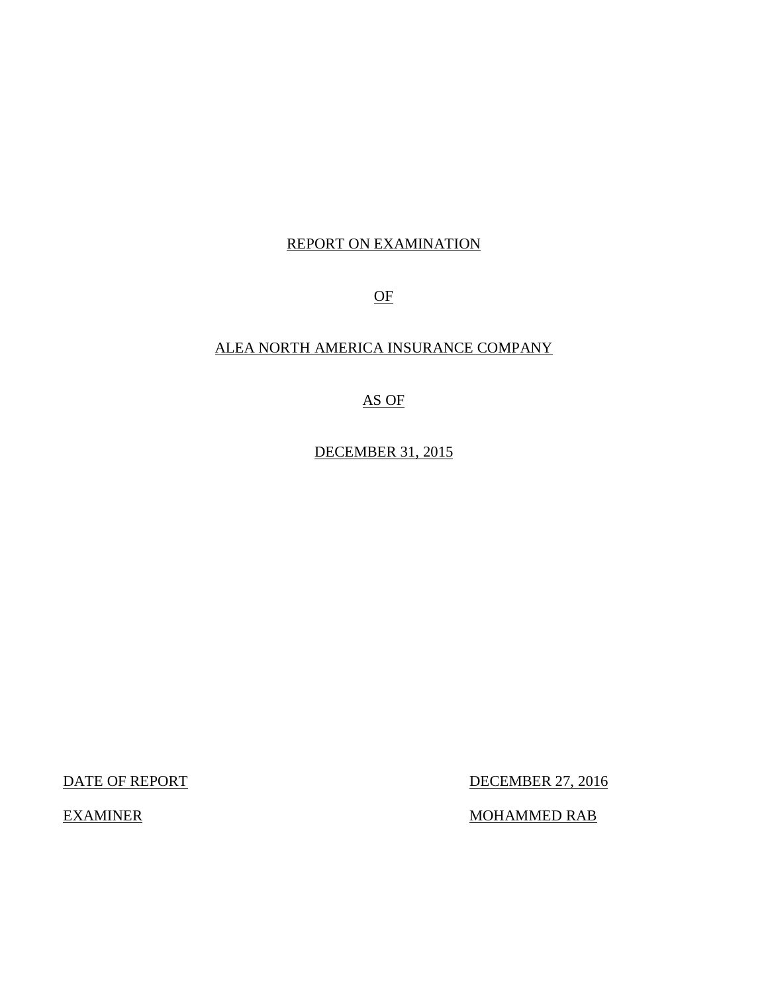## REPORT ON EXAMINATION

OF

## ALEA NORTH AMERICA INSURANCE COMPANY

## AS OF

DECEMBER 31, 2015

DATE OF REPORT DECEMBER 27, 2016

EXAMINER MOHAMMED RAB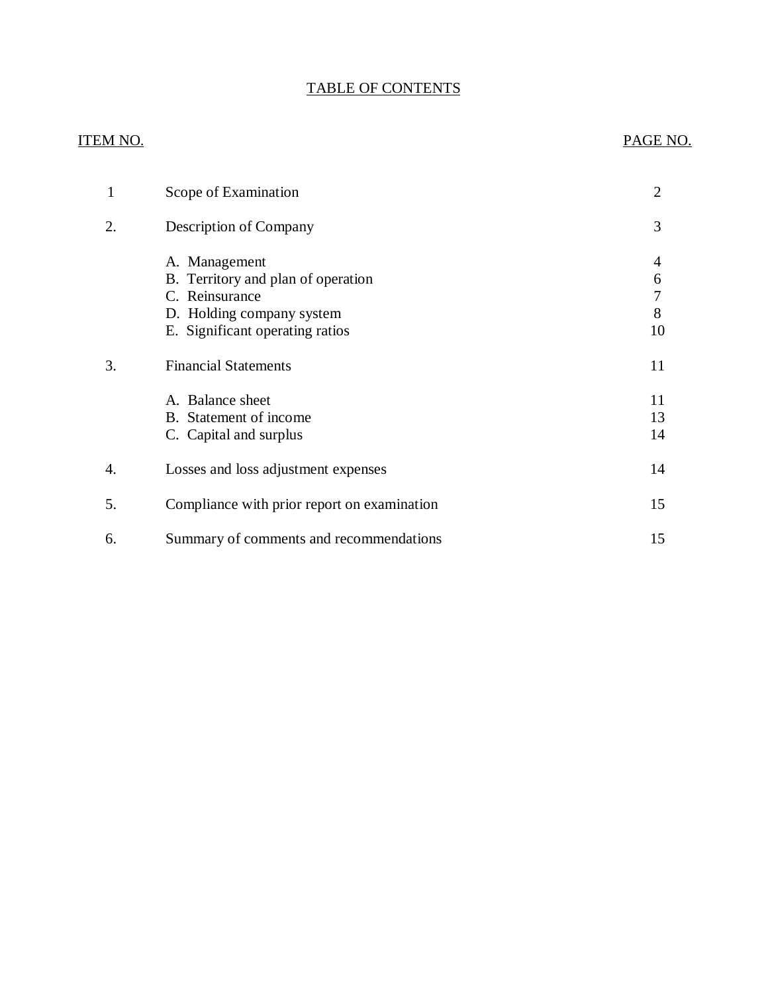## TABLE OF CONTENTS

## ITEM NO. PAGE NO.

|    | Scope of Examination                                                                                                                  | $\overline{2}$    |
|----|---------------------------------------------------------------------------------------------------------------------------------------|-------------------|
| 2. | Description of Company                                                                                                                | 3                 |
|    | A. Management<br>B. Territory and plan of operation<br>C. Reinsurance<br>D. Holding company system<br>E. Significant operating ratios | 4<br>6<br>8<br>10 |
| 3. | <b>Financial Statements</b>                                                                                                           | 11                |
|    | A. Balance sheet<br>B. Statement of income<br>C. Capital and surplus                                                                  | 11<br>13<br>14    |
| 4. | Losses and loss adjustment expenses                                                                                                   | 14                |
| 5. | Compliance with prior report on examination                                                                                           | 15                |
| 6. | Summary of comments and recommendations                                                                                               | 15                |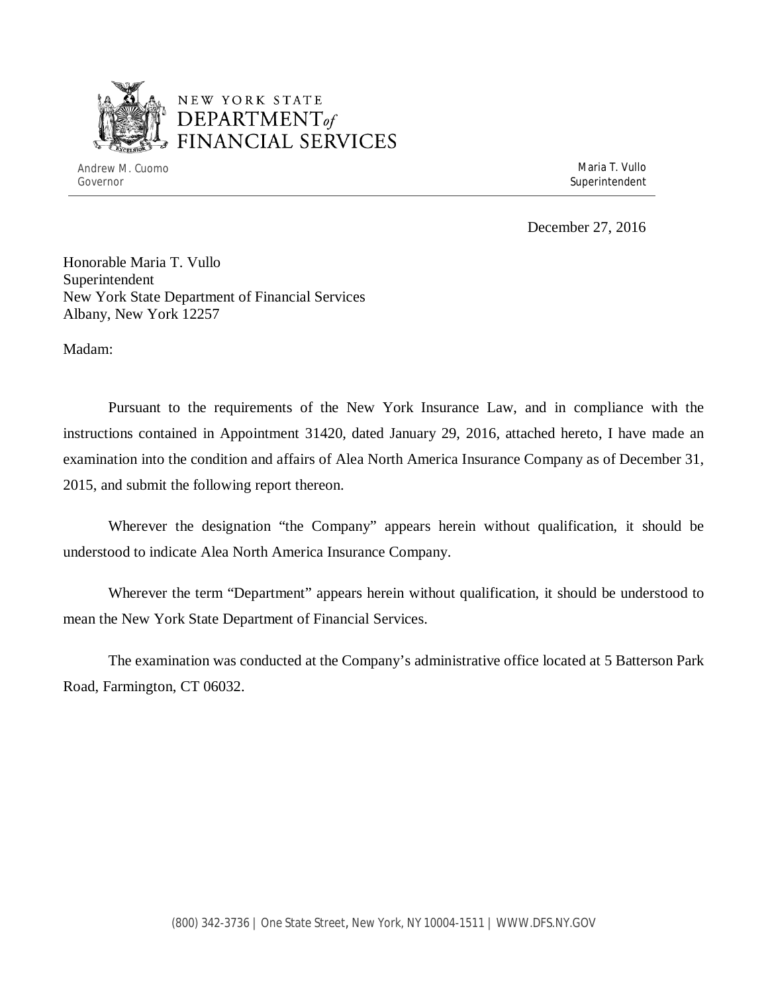

## NEW YORK STATE *DEPARTMENTof*  FINANCIAL SERVICES

Andrew M. Cuomo **Maria T. Vullo** Maria T. Vullo Governor Superintendent Superintendent Superintendent Superintendent Superintendent Superintendent Superintendent

December 27, 2016

Honorable Maria T. Vullo Superintendent New York State Department of Financial Services Albany, New York 12257

Madam:

Pursuant to the requirements of the New York Insurance Law, and in compliance with the instructions contained in Appointment 31420, dated January 29, 2016, attached hereto, I have made an examination into the condition and affairs of Alea North America Insurance Company as of December 31, 2015, and submit the following report thereon.

Wherever the designation "the Company" appears herein without qualification, it should be understood to indicate Alea North America Insurance Company.

Wherever the term "Department" appears herein without qualification, it should be understood to mean the New York State Department of Financial Services.

The examination was conducted at the Company's administrative office located at 5 Batterson Park Road, Farmington, CT 06032.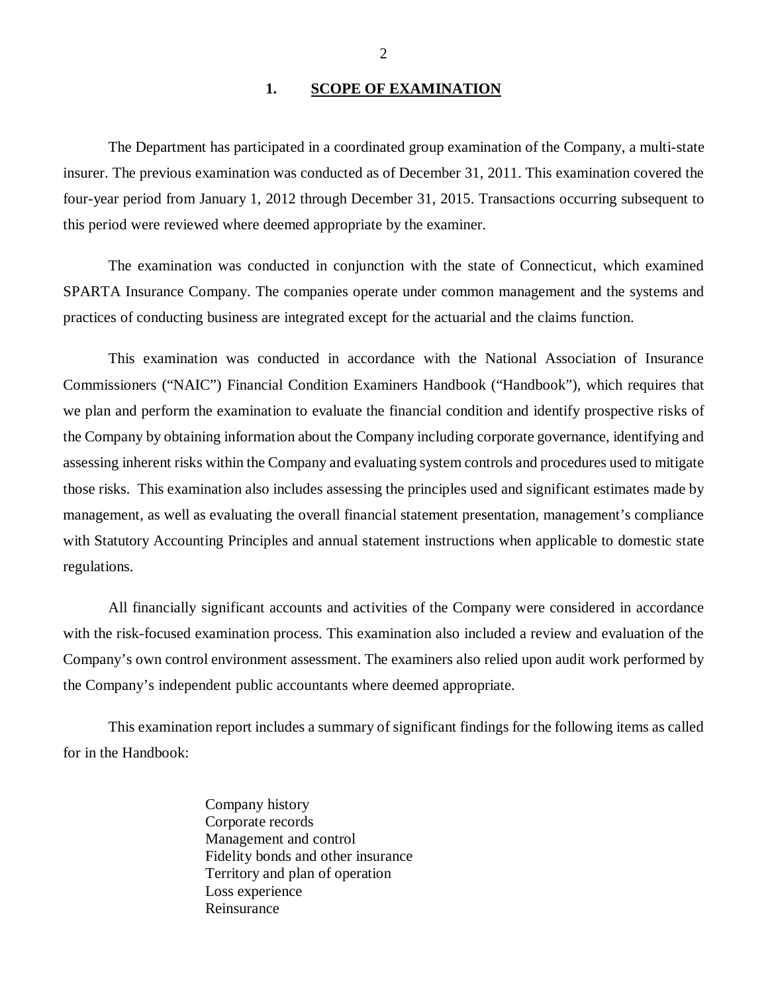#### 1. SCOPE OF EXAMINATION

<span id="page-3-0"></span>The Department has participated in a coordinated group examination of the Company, a multi-state insurer. The previous examination was conducted as of December 31, 2011. This examination covered the four-year period from January 1, 2012 through December 31, 2015. Transactions occurring subsequent to this period were reviewed where deemed appropriate by the examiner.

The examination was conducted in conjunction with the state of Connecticut, which examined SPARTA Insurance Company. The companies operate under common management and the systems and practices of conducting business are integrated except for the actuarial and the claims function.

This examination was conducted in accordance with the National Association of Insurance Commissioners ("NAIC") Financial Condition Examiners Handbook ("Handbook"), which requires that we plan and perform the examination to evaluate the financial condition and identify prospective risks of the Company by obtaining information about the Company including corporate governance, identifying and assessing inherent risks within the Company and evaluating system controls and procedures used to mitigate those risks. This examination also includes assessing the principles used and significant estimates made by management, as well as evaluating the overall financial statement presentation, management's compliance with Statutory Accounting Principles and annual statement instructions when applicable to domestic state regulations.

All financially significant accounts and activities of the Company were considered in accordance with the risk-focused examination process. This examination also included a review and evaluation of the Company's own control environment assessment. The examiners also relied upon audit work performed by the Company's independent public accountants where deemed appropriate.

This examination report includes a summary of significant findings for the following items as called for in the Handbook:

> Company history Corporate records Management and control Fidelity bonds and other insurance Territory and plan of operation Loss experience Reinsurance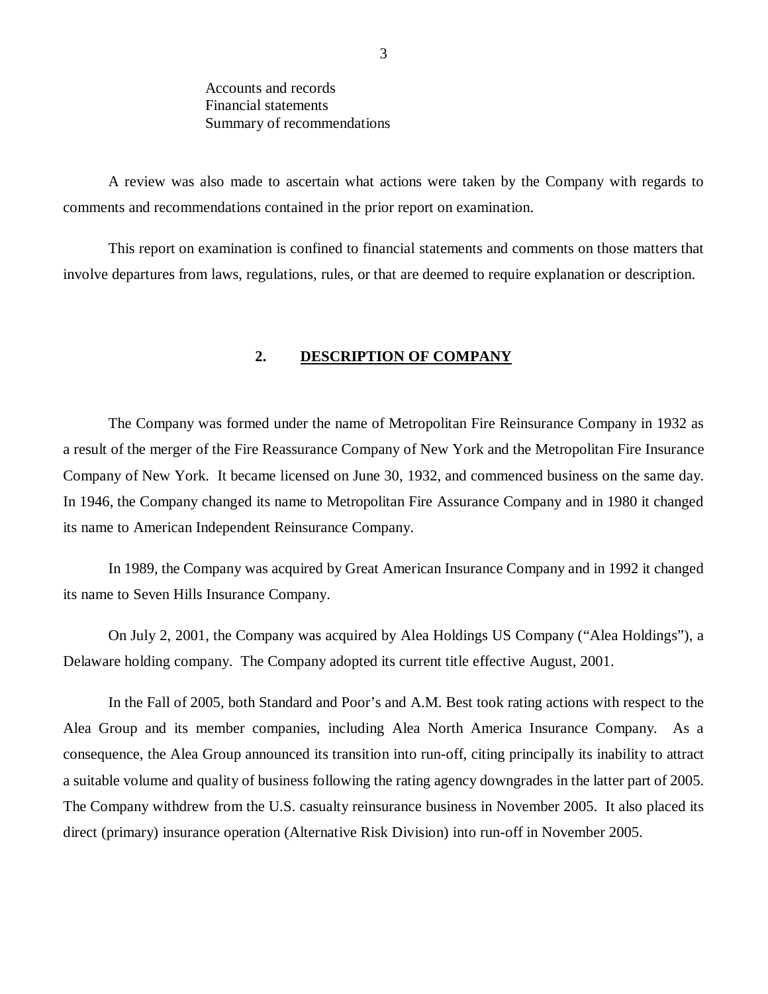Accounts and records Financial statements Summary of recommendations

<span id="page-4-0"></span>A review was also made to ascertain what actions were taken by the Company with regards to comments and recommendations contained in the prior report on examination.

This report on examination is confined to financial statements and comments on those matters that involve departures from laws, regulations, rules, or that are deemed to require explanation or description.

#### **2. DESCRIPTION OF COMPANY**

The Company was formed under the name of Metropolitan Fire Reinsurance Company in 1932 as a result of the merger of the Fire Reassurance Company of New York and the Metropolitan Fire Insurance Company of New York. It became licensed on June 30, 1932, and commenced business on the same day. In 1946, the Company changed its name to Metropolitan Fire Assurance Company and in 1980 it changed its name to American Independent Reinsurance Company.

In 1989, the Company was acquired by Great American Insurance Company and in 1992 it changed its name to Seven Hills Insurance Company.

On July 2, 2001, the Company was acquired by Alea Holdings US Company ("Alea Holdings"), a Delaware holding company. The Company adopted its current title effective August, 2001.

In the Fall of 2005, both Standard and Poor's and A.M. Best took rating actions with respect to the Alea Group and its member companies, including Alea North America Insurance Company. As a consequence, the Alea Group announced its transition into run-off, citing principally its inability to attract a suitable volume and quality of business following the rating agency downgrades in the latter part of 2005. The Company withdrew from the U.S. casualty reinsurance business in November 2005. It also placed its direct (primary) insurance operation (Alternative Risk Division) into run-off in November 2005.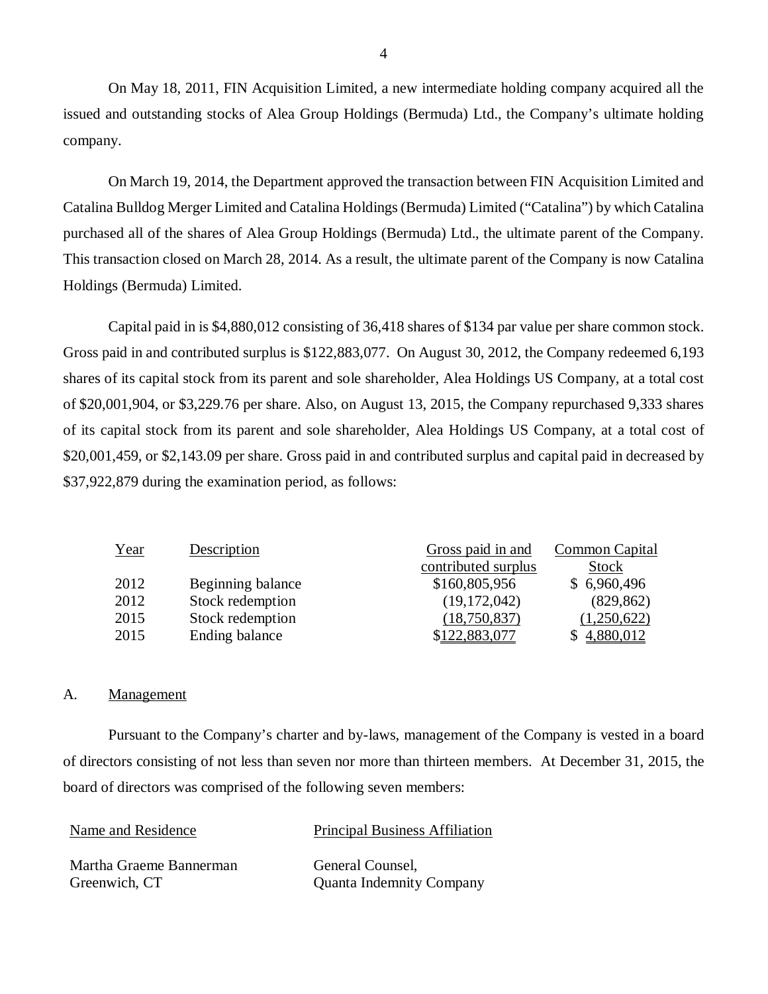On May 18, 2011, FIN Acquisition Limited, a new intermediate holding company acquired all the issued and outstanding stocks of Alea Group Holdings (Bermuda) Ltd., the Company's ultimate holding company.

On March 19, 2014, the Department approved the transaction between FIN Acquisition Limited and Catalina Bulldog Merger Limited and Catalina Holdings (Bermuda) Limited ("Catalina") by which Catalina purchased all of the shares of Alea Group Holdings (Bermuda) Ltd., the ultimate parent of the Company. This transaction closed on March 28, 2014. As a result, the ultimate parent of the Company is now Catalina Holdings (Bermuda) Limited.

Capital paid in is \$4,880,012 consisting of 36,418 shares of \$134 par value per share common stock. Gross paid in and contributed surplus is \$122,883,077. On August 30, 2012, the Company redeemed 6,193 shares of its capital stock from its parent and sole shareholder, Alea Holdings US Company, at a total cost of \$20,001,904, or \$[3,229.76](http:3,229.76) per share. Also, on August 13, 2015, the Company repurchased 9,333 shares of its capital stock from its parent and sole shareholder, Alea Holdings US Company, at a total cost of \$20,001,459, or \$[2,143.09](http:2,143.09) per share. Gross paid in and contributed surplus and capital paid in decreased by \$37,922,879 during the examination period, as follows:

| Description       | Gross paid in and   | <b>Common Capital</b> |
|-------------------|---------------------|-----------------------|
|                   | contributed surplus | <b>Stock</b>          |
| Beginning balance | \$160,805,956       | \$6,960,496           |
| Stock redemption  | (19, 172, 042)      | (829, 862)            |
| Stock redemption  | (18,750,837)        | (1,250,622)           |
| Ending balance    | \$122,883,077       | \$4,880,012           |
|                   |                     |                       |

#### A. Management

Pursuant to the Company's charter and by-laws, management of the Company is vested in a board of directors consisting of not less than seven nor more than thirteen members. At December 31, 2015, the board of directors was comprised of the following seven members:

| Name and Residence      | <b>Principal Business Affiliation</b> |
|-------------------------|---------------------------------------|
| Martha Graeme Bannerman | General Counsel.                      |
| Greenwich, CT           | <b>Quanta Indemnity Company</b>       |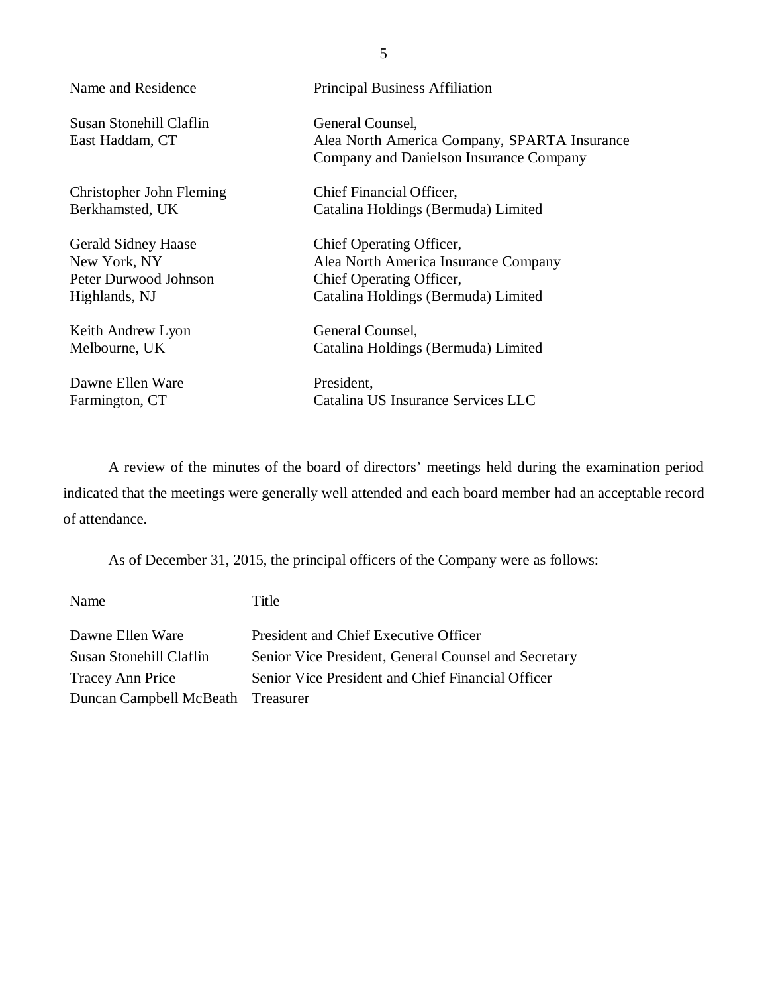| Name and Residence                         | <b>Principal Business Affiliation</b>                                                                       |
|--------------------------------------------|-------------------------------------------------------------------------------------------------------------|
| Susan Stonehill Claflin<br>East Haddam, CT | General Counsel,<br>Alea North America Company, SPARTA Insurance<br>Company and Danielson Insurance Company |
| Christopher John Fleming                   | Chief Financial Officer,                                                                                    |
| Berkhamsted, UK                            | Catalina Holdings (Bermuda) Limited                                                                         |
| <b>Gerald Sidney Haase</b>                 | Chief Operating Officer,                                                                                    |
| New York, NY                               | Alea North America Insurance Company                                                                        |
| Peter Durwood Johnson                      | Chief Operating Officer,                                                                                    |
| Highlands, NJ                              | Catalina Holdings (Bermuda) Limited                                                                         |
| Keith Andrew Lyon                          | General Counsel,                                                                                            |
| Melbourne, UK                              | Catalina Holdings (Bermuda) Limited                                                                         |
| Dawne Ellen Ware                           | President,                                                                                                  |
| Farmington, CT                             | Catalina US Insurance Services LLC                                                                          |

A review of the minutes of the board of directors' meetings held during the examination period indicated that the meetings were generally well attended and each board member had an acceptable record of attendance.

As of December 31, 2015, the principal officers of the Company were as follows:

| Name                              | Title                                                |
|-----------------------------------|------------------------------------------------------|
| Dawne Ellen Ware                  | President and Chief Executive Officer                |
| Susan Stonehill Claflin           | Senior Vice President, General Counsel and Secretary |
| <b>Tracey Ann Price</b>           | Senior Vice President and Chief Financial Officer    |
| Duncan Campbell McBeath Treasurer |                                                      |

5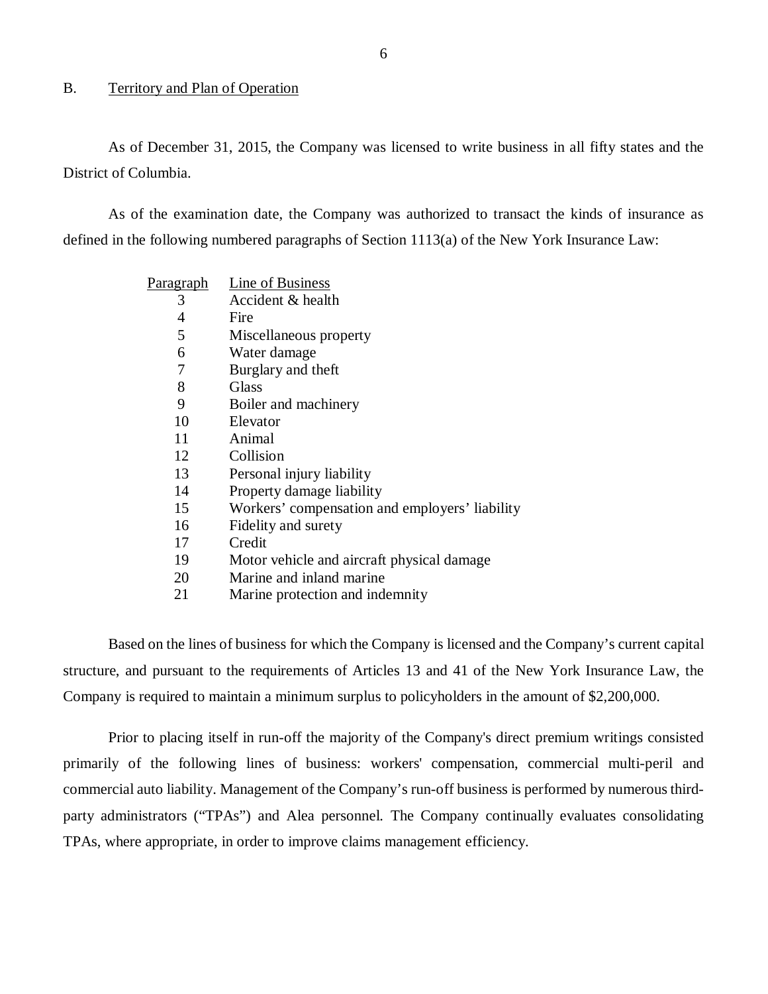#### <span id="page-7-0"></span>B. Territory and Plan of Operation

As of December 31, 2015, the Company was licensed to write business in all fifty states and the District of Columbia.

As of the examination date, the Company was authorized to transact the kinds of insurance as defined in the following numbered paragraphs of Section 1113(a) of the New York Insurance Law:

| P <u>aragraph</u> | Line of Business                               |
|-------------------|------------------------------------------------|
| 3                 | Accident & health                              |
| 4                 | Fire                                           |
| 5                 | Miscellaneous property                         |
| 6                 | Water damage                                   |
| 7                 | Burglary and theft                             |
| 8                 | Glass                                          |
| 9                 | Boiler and machinery                           |
| 10                | Elevator                                       |
| 11                | Animal                                         |
| 12                | Collision                                      |
| 13                | Personal injury liability                      |
| 14                | Property damage liability                      |
| 15                | Workers' compensation and employers' liability |
| 16                | Fidelity and surety                            |
| 17                | Credit                                         |
| 19                | Motor vehicle and aircraft physical damage     |
| 20                | Marine and inland marine                       |
|                   |                                                |

21 Marine protection and indemnity

Based on the lines of business for which the Company is licensed and the Company's current capital structure, and pursuant to the requirements of Articles 13 and 41 of the New York Insurance Law, the Company is required to maintain a minimum surplus to policyholders in the amount of \$2,200,000.

Prior to placing itself in run-off the majority of the Company's direct premium writings consisted primarily of the following lines of business: workers' compensation, commercial multi-peril and commercial auto liability. Management of the Company's run-off business is performed by numerous thirdparty administrators ("TPAs") and Alea personnel. The Company continually evaluates consolidating TPAs, where appropriate, in order to improve claims management efficiency.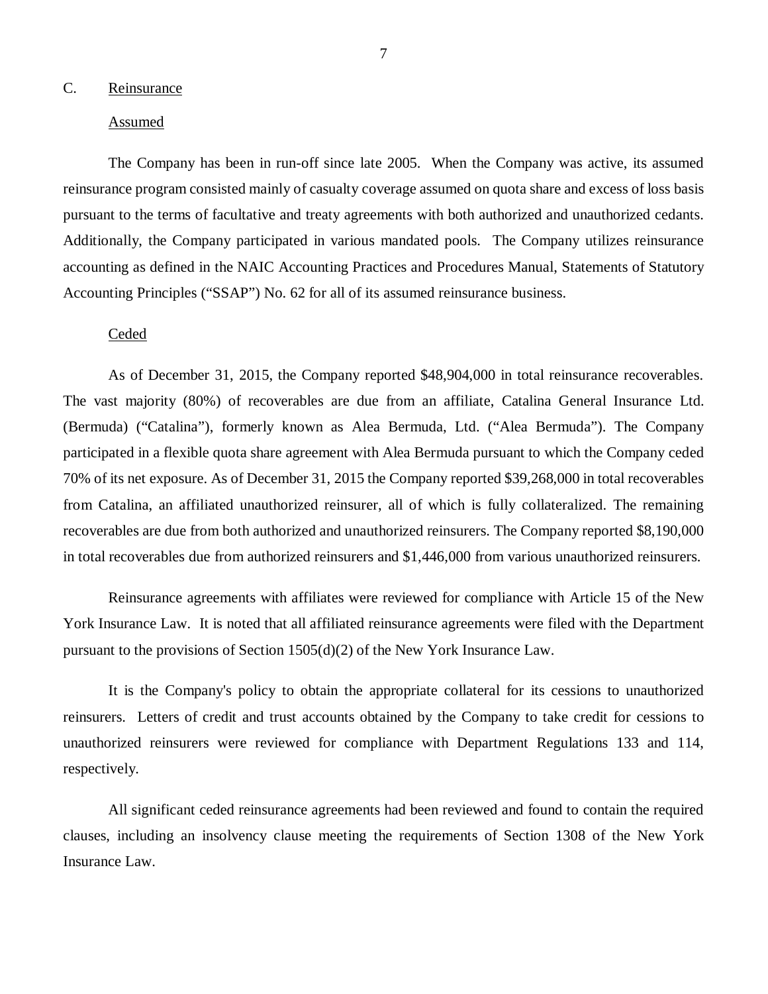#### <span id="page-8-0"></span>C. Reinsurance

#### Assumed

The Company has been in run-off since late 2005. When the Company was active, its assumed reinsurance program consisted mainly of casualty coverage assumed on quota share and excess of loss basis pursuant to the terms of facultative and treaty agreements with both authorized and unauthorized cedants. Additionally, the Company participated in various mandated pools. The Company utilizes reinsurance accounting as defined in the NAIC Accounting Practices and Procedures Manual, Statements of Statutory Accounting Principles ("SSAP") No. 62 for all of its assumed reinsurance business.

#### Ceded

As of December 31, 2015, the Company reported \$48,904,000 in total reinsurance recoverables. The vast majority (80%) of recoverables are due from an affiliate, Catalina General Insurance Ltd. (Bermuda) ("Catalina"), formerly known as Alea Bermuda, Ltd. ("Alea Bermuda"). The Company participated in a flexible quota share agreement with Alea Bermuda pursuant to which the Company ceded 70% of its net exposure. As of December 31, 2015 the Company reported \$39,268,000 in total recoverables from Catalina, an affiliated unauthorized reinsurer, all of which is fully collateralized. The remaining recoverables are due from both authorized and unauthorized reinsurers. The Company reported \$8,190,000 in total recoverables due from authorized reinsurers and \$1,446,000 from various unauthorized reinsurers.

Reinsurance agreements with affiliates were reviewed for compliance with Article 15 of the New York Insurance Law. It is noted that all affiliated reinsurance agreements were filed with the Department pursuant to the provisions of Section 1505(d)(2) of the New York Insurance Law.

It is the Company's policy to obtain the appropriate collateral for its cessions to unauthorized reinsurers. Letters of credit and trust accounts obtained by the Company to take credit for cessions to unauthorized reinsurers were reviewed for compliance with Department Regulations 133 and 114, respectively.

All significant ceded reinsurance agreements had been reviewed and found to contain the required clauses, including an insolvency clause meeting the requirements of Section 1308 of the New York Insurance Law.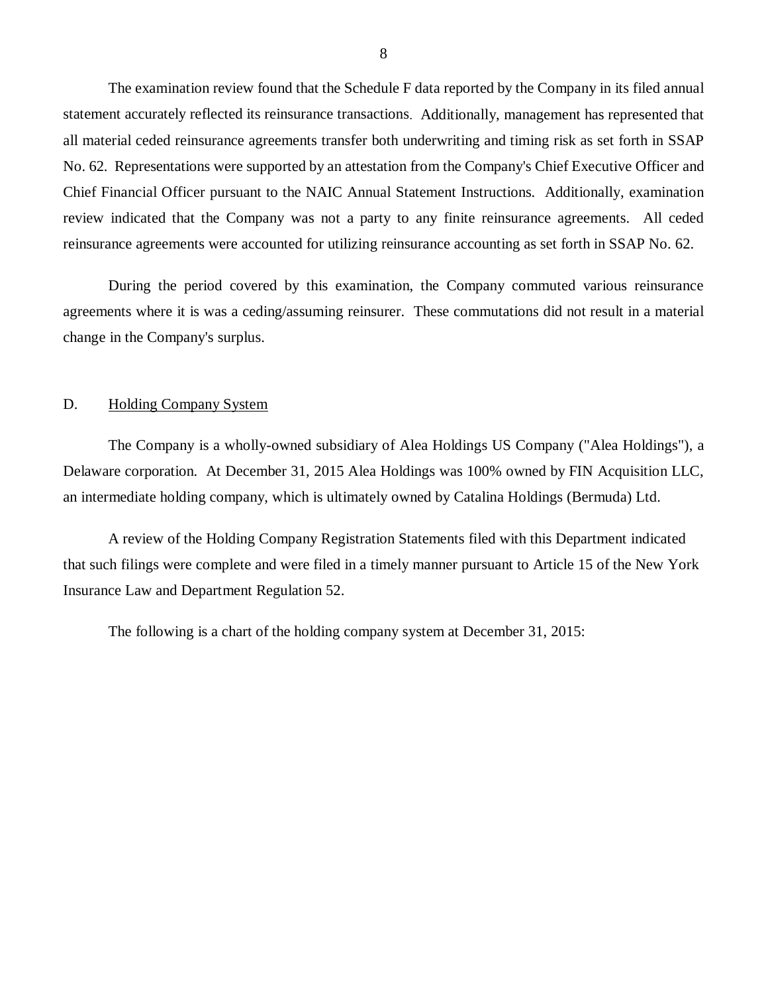<span id="page-9-0"></span>The examination review found that the Schedule F data reported by the Company in its filed annual statement accurately reflected its reinsurance transactions. Additionally, management has represented that all material ceded reinsurance agreements transfer both underwriting and timing risk as set forth in SSAP No. 62. Representations were supported by an attestation from the Company's Chief Executive Officer and Chief Financial Officer pursuant to the NAIC Annual Statement Instructions. Additionally, examination review indicated that the Company was not a party to any finite reinsurance agreements. All ceded reinsurance agreements were accounted for utilizing reinsurance accounting as set forth in SSAP No. 62.

During the period covered by this examination, the Company commuted various reinsurance agreements where it is was a ceding/assuming reinsurer. These commutations did not result in a material change in the Company's surplus.

#### D. Holding Company System

The Company is a wholly-owned subsidiary of Alea Holdings US Company ("Alea Holdings"), a Delaware corporation. At December 31, 2015 Alea Holdings was 100% owned by FIN Acquisition LLC, an intermediate holding company, which is ultimately owned by Catalina Holdings (Bermuda) Ltd.

A review of the Holding Company Registration Statements filed with this Department indicated that such filings were complete and were filed in a timely manner pursuant to Article 15 of the New York Insurance Law and Department Regulation 52.

The following is a chart of the holding company system at December 31, 2015: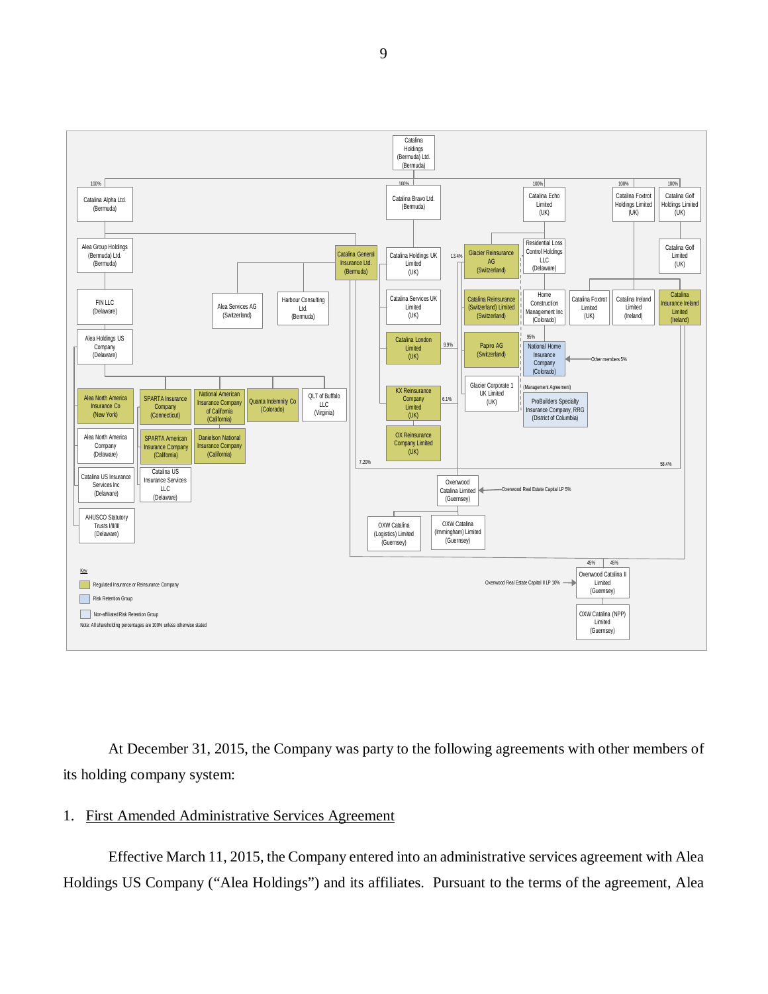

At December 31, 2015, the Company was party to the following agreements with other members of its holding company system:

#### 1. First Amended Administrative Services Agreement

Effective March 11, 2015, the Company entered into an administrative services agreement with Alea Holdings US Company ("Alea Holdings") and its affiliates. Pursuant to the terms of the agreement, Alea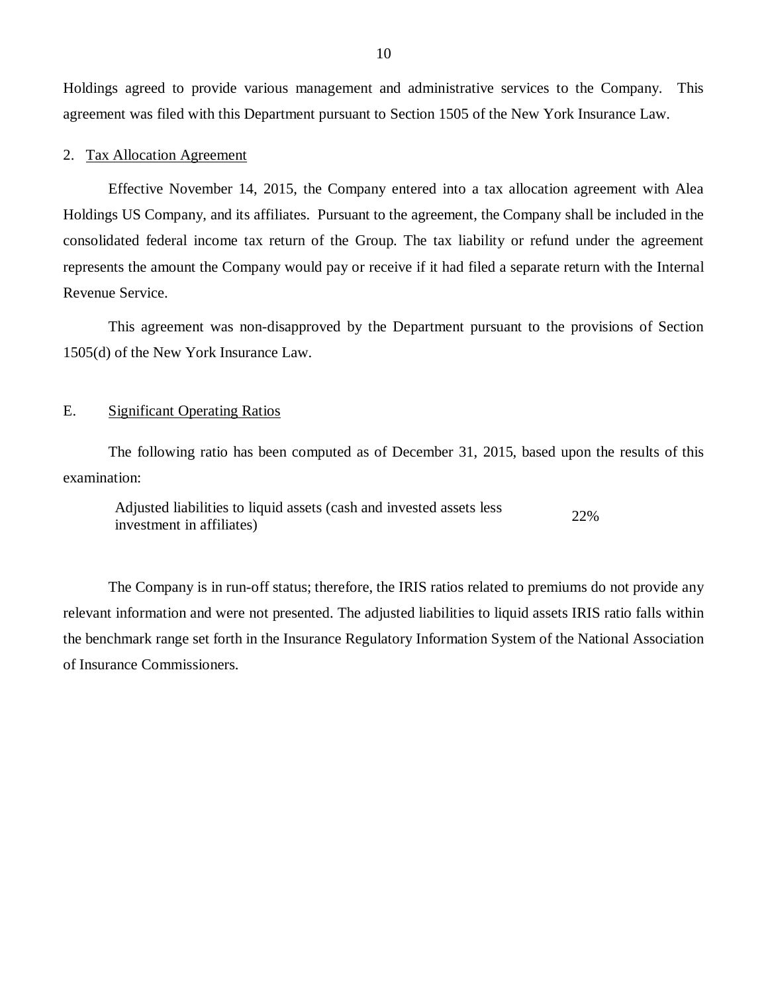<span id="page-11-0"></span>Holdings agreed to provide various management and administrative services to the Company. This agreement was filed with this Department pursuant to Section 1505 of the New York Insurance Law.

#### 2. Tax Allocation Agreement

Effective November 14, 2015, the Company entered into a tax allocation agreement with Alea Holdings US Company, and its affiliates. Pursuant to the agreement, the Company shall be included in the consolidated federal income tax return of the Group. The tax liability or refund under the agreement represents the amount the Company would pay or receive if it had filed a separate return with the Internal Revenue Service.

This agreement was non-disapproved by the Department pursuant to the provisions of Section 1505(d) of the New York Insurance Law.

#### E. Significant Operating Ratios

The following ratio has been computed as of December 31, 2015, based upon the results of this examination:

Adjusted liabilities to liquid assets (cash and invested assets less 22% investment in affiliates)

The Company is in run-off status; therefore, the IRIS ratios related to premiums do not provide any relevant information and were not presented. The adjusted liabilities to liquid assets IRIS ratio falls within the benchmark range set forth in the Insurance Regulatory Information System of the National Association of Insurance Commissioners.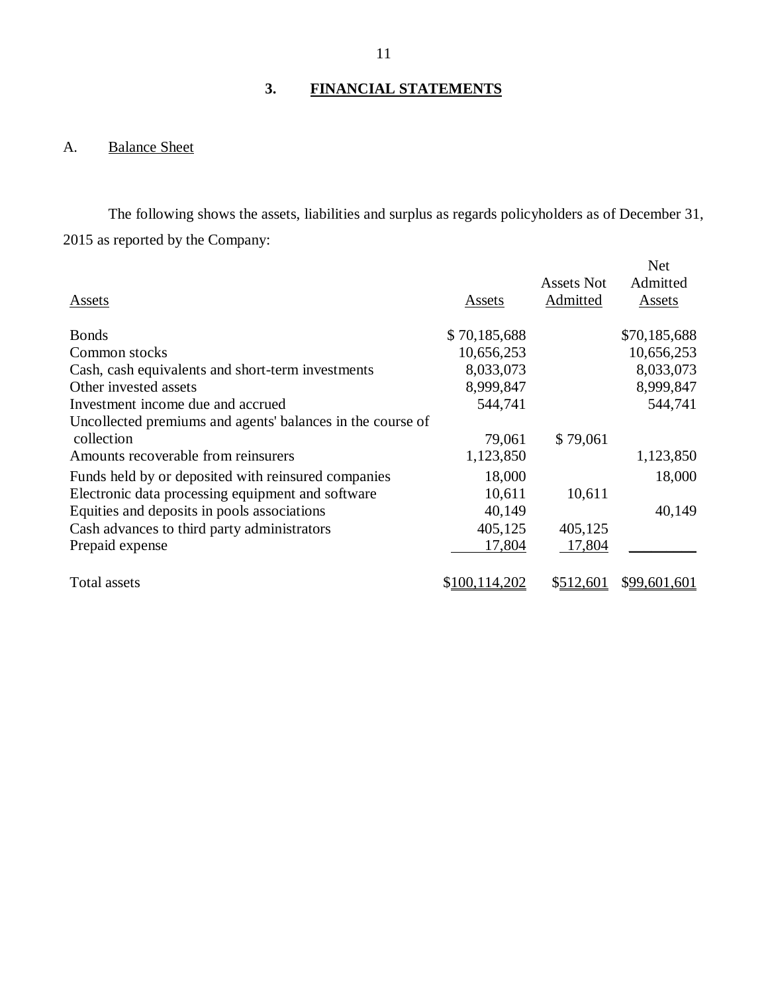## **3. FINANCIAL STATEMENTS**

## A. Balance Sheet

The following shows the assets, liabilities and surplus as regards policyholders as of December 31, 2015 as reported by the Company:

|                                                            |               |            | <b>Net</b>   |
|------------------------------------------------------------|---------------|------------|--------------|
|                                                            |               | Assets Not | Admitted     |
| Assets                                                     | Assets        | Admitted   | Assets       |
|                                                            |               |            |              |
| <b>Bonds</b>                                               | \$70,185,688  |            | \$70,185,688 |
| Common stocks                                              | 10,656,253    |            | 10,656,253   |
| Cash, cash equivalents and short-term investments          | 8,033,073     |            | 8,033,073    |
| Other invested assets                                      | 8,999,847     |            | 8,999,847    |
| Investment income due and accrued                          | 544,741       |            | 544,741      |
| Uncollected premiums and agents' balances in the course of |               |            |              |
| collection                                                 | 79,061        | \$79,061   |              |
| Amounts recoverable from reinsurers                        | 1,123,850     |            | 1,123,850    |
| Funds held by or deposited with reinsured companies        | 18,000        |            | 18,000       |
| Electronic data processing equipment and software          | 10,611        | 10,611     |              |
| Equities and deposits in pools associations                | 40,149        |            | 40,149       |
| Cash advances to third party administrators                | 405,125       | 405,125    |              |
| Prepaid expense                                            | 17,804        | 17,804     |              |
|                                                            |               |            |              |
| Total assets                                               | \$100,114,202 | \$512,601  | \$99,601,601 |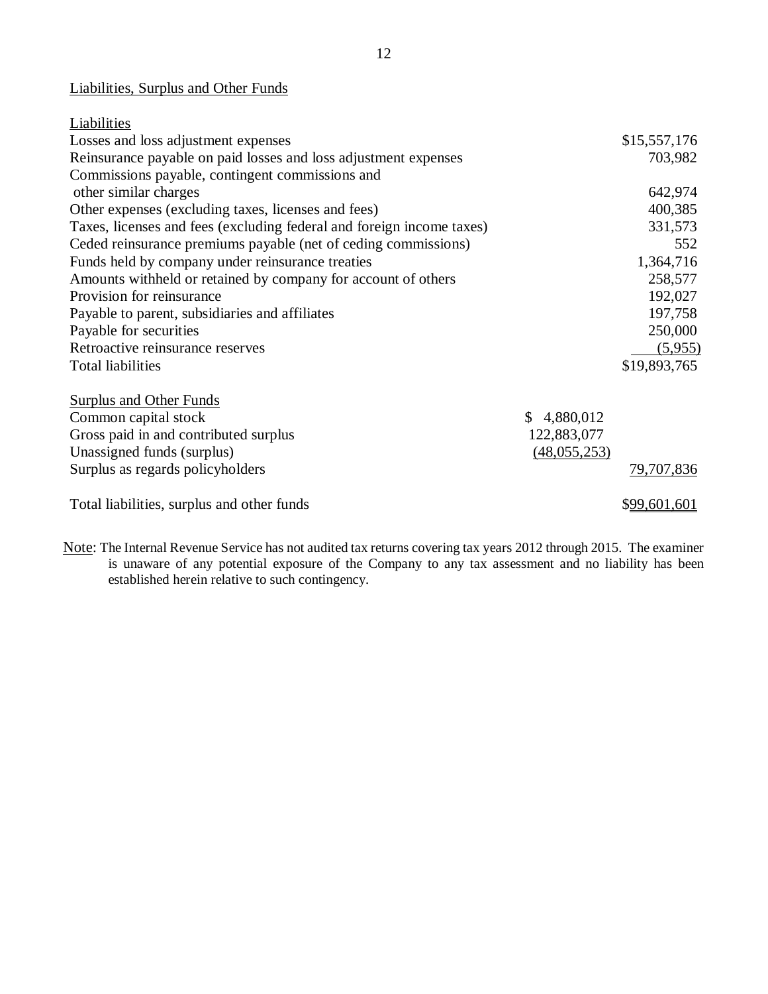### Liabilities, Surplus and Other Funds

| Liabilities                                                           |                |              |
|-----------------------------------------------------------------------|----------------|--------------|
| Losses and loss adjustment expenses                                   |                | \$15,557,176 |
| Reinsurance payable on paid losses and loss adjustment expenses       |                | 703,982      |
| Commissions payable, contingent commissions and                       |                |              |
| other similar charges                                                 |                | 642,974      |
| Other expenses (excluding taxes, licenses and fees)                   |                | 400,385      |
| Taxes, licenses and fees (excluding federal and foreign income taxes) |                | 331,573      |
| Ceded reinsurance premiums payable (net of ceding commissions)        |                | 552          |
| Funds held by company under reinsurance treaties                      |                | 1,364,716    |
| Amounts withheld or retained by company for account of others         |                | 258,577      |
| Provision for reinsurance                                             |                | 192,027      |
| Payable to parent, subsidiaries and affiliates                        |                | 197,758      |
| Payable for securities                                                |                | 250,000      |
| Retroactive reinsurance reserves                                      |                | (5,955)      |
| <b>Total liabilities</b>                                              |                | \$19,893,765 |
| <b>Surplus and Other Funds</b>                                        |                |              |
| Common capital stock                                                  | \$4,880,012    |              |
| Gross paid in and contributed surplus                                 | 122,883,077    |              |
| Unassigned funds (surplus)                                            | (48, 055, 253) |              |
| Surplus as regards policyholders                                      |                | 79,707,836   |
| Total liabilities, surplus and other funds                            |                | \$99,601,601 |

Note: The Internal Revenue Service has not audited tax returns covering tax years 2012 through 2015. The examiner is unaware of any potential exposure of the Company to any tax assessment and no liability has been established herein relative to such contingency.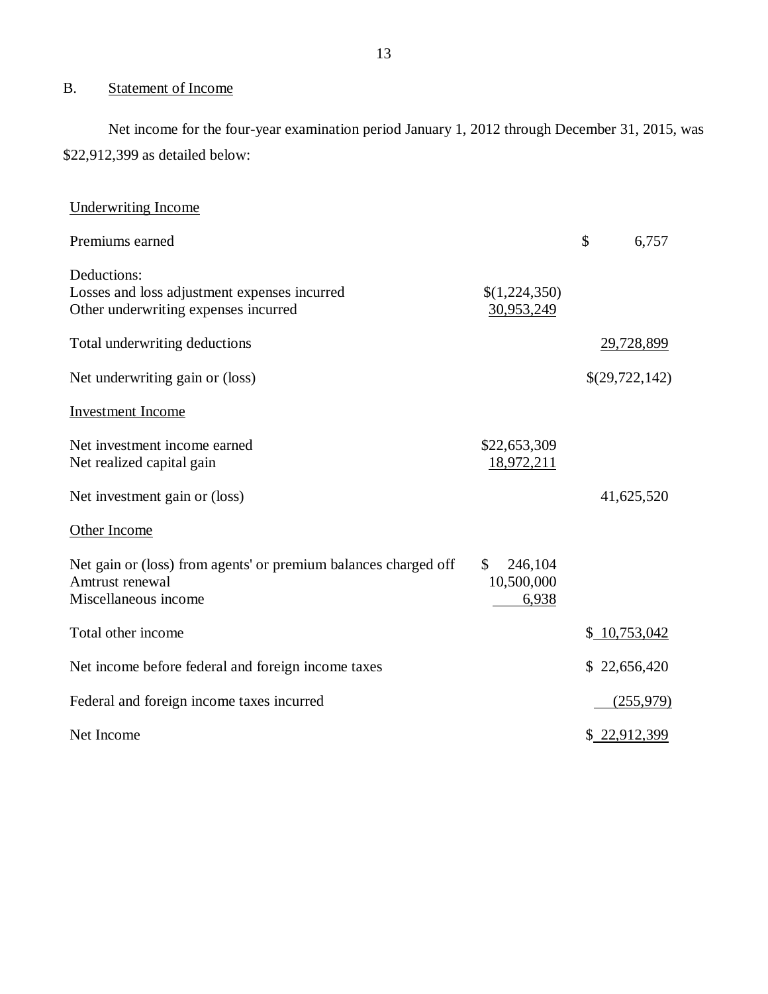## B. Statement of Income

Net income for the four-year examination period January 1, 2012 through December 31, 2015, was \$22,912,399 as detailed below:

| <b>Underwriting Income</b>                                                                                 |                                      |                |
|------------------------------------------------------------------------------------------------------------|--------------------------------------|----------------|
| Premiums earned                                                                                            |                                      | \$<br>6,757    |
| Deductions:<br>Losses and loss adjustment expenses incurred<br>Other underwriting expenses incurred        | \$(1,224,350)<br>30,953,249          |                |
| Total underwriting deductions                                                                              |                                      | 29,728,899     |
| Net underwriting gain or (loss)                                                                            |                                      | \$(29,722,142) |
| <b>Investment</b> Income                                                                                   |                                      |                |
| Net investment income earned<br>Net realized capital gain                                                  | \$22,653,309<br>18,972,211           |                |
| Net investment gain or (loss)                                                                              |                                      | 41,625,520     |
| Other Income                                                                                               |                                      |                |
| Net gain or (loss) from agents' or premium balances charged off<br>Amtrust renewal<br>Miscellaneous income | \$<br>246,104<br>10,500,000<br>6,938 |                |
| Total other income                                                                                         |                                      | \$10,753,042   |
| Net income before federal and foreign income taxes                                                         |                                      | \$22,656,420   |
| Federal and foreign income taxes incurred                                                                  |                                      | (255,979)      |
| Net Income                                                                                                 |                                      | \$22,912,399   |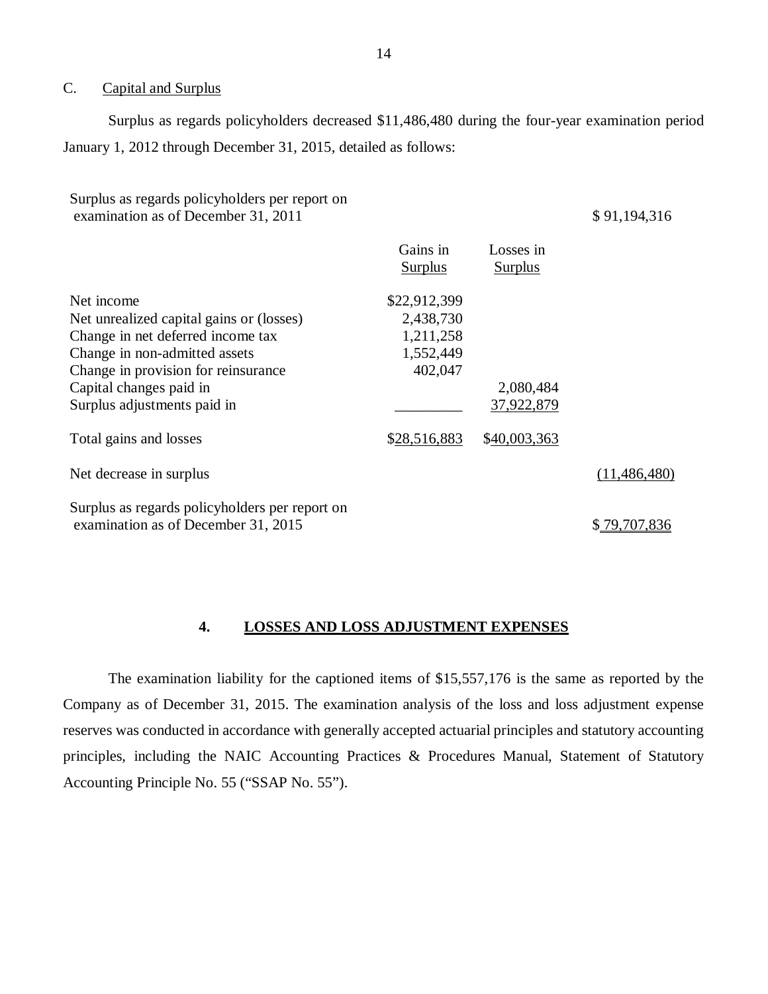#### <span id="page-15-0"></span>C. Capital and Surplus

Surplus as regards policyholders decreased \$11,486,480 during the four-year examination period January 1, 2012 through December 31, 2015, detailed as follows:

| Surplus as regards policyholders per report on<br>examination as of December 31, 2011 |                |                | \$91,194,316   |
|---------------------------------------------------------------------------------------|----------------|----------------|----------------|
|                                                                                       | Gains in       | Losses in      |                |
|                                                                                       | <b>Surplus</b> | <b>Surplus</b> |                |
| Net income                                                                            | \$22,912,399   |                |                |
| Net unrealized capital gains or (losses)                                              | 2,438,730      |                |                |
| Change in net deferred income tax                                                     | 1,211,258      |                |                |
| Change in non-admitted assets                                                         | 1,552,449      |                |                |
| Change in provision for reinsurance                                                   | 402,047        |                |                |
| Capital changes paid in                                                               |                | 2,080,484      |                |
| Surplus adjustments paid in                                                           |                | 37,922,879     |                |
| Total gains and losses                                                                | \$28,516,883   | \$40,003,363   |                |
| Net decrease in surplus                                                               |                |                | (11, 486, 480) |
| Surplus as regards policyholders per report on                                        |                |                |                |
| examination as of December 31, 2015                                                   |                |                | \$79,707,836   |

#### **4. LOSSES AND LOSS ADJUSTMENT EXPENSES**

The examination liability for the captioned items of \$15,557,176 is the same as reported by the Company as of December 31, 2015. The examination analysis of the loss and loss adjustment expense reserves was conducted in accordance with generally accepted actuarial principles and statutory accounting principles, including the NAIC Accounting Practices & Procedures Manual, Statement of Statutory Accounting Principle No. 55 ("SSAP No. 55").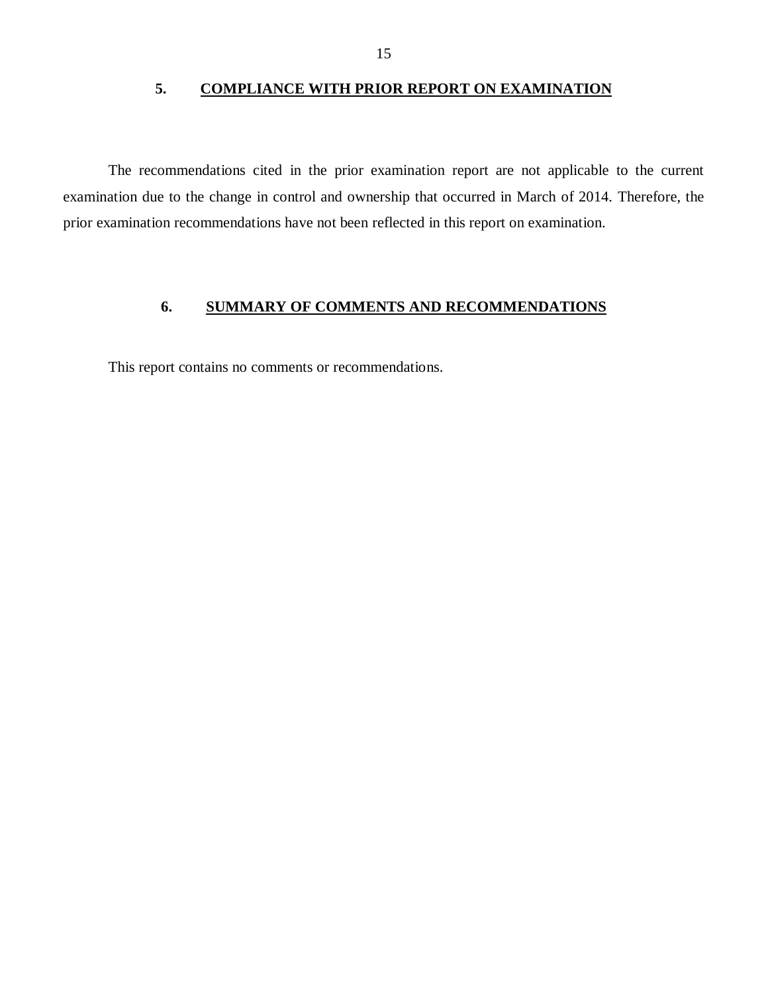#### **5. COMPLIANCE WITH PRIOR REPORT ON EXAMINATION**

<span id="page-16-0"></span>The recommendations cited in the prior examination report are not applicable to the current examination due to the change in control and ownership that occurred in March of 2014. Therefore, the prior examination recommendations have not been reflected in this report on examination.

### **6. SUMMARY OF COMMENTS AND RECOMMENDATIONS**

This report contains no comments or recommendations.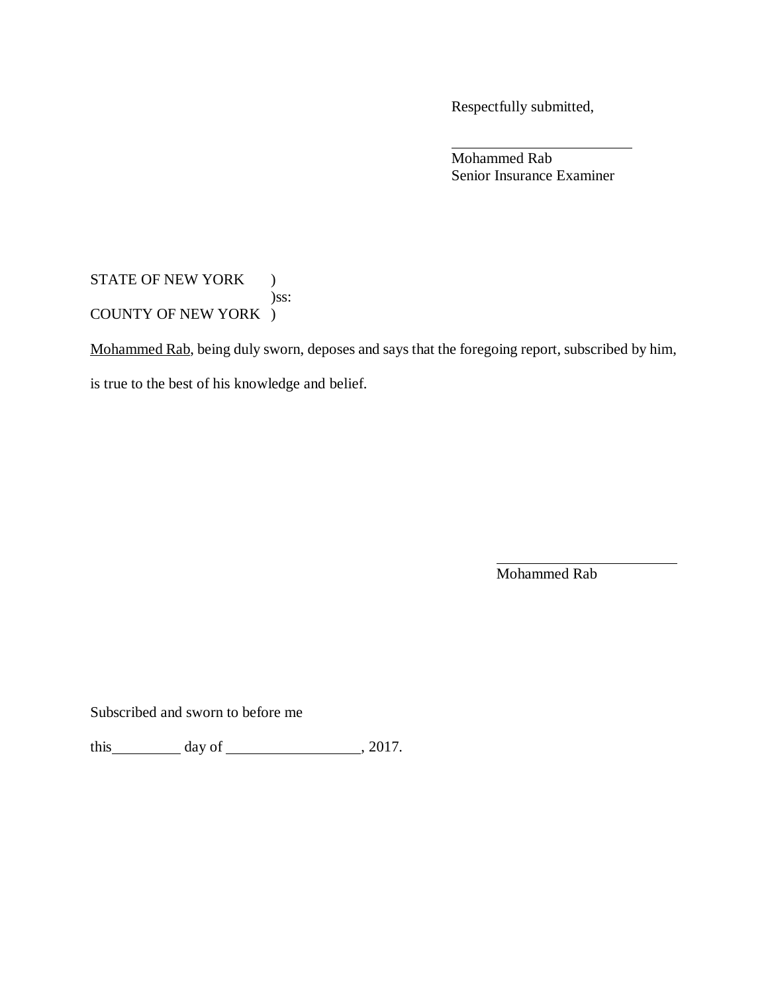Respectfully submitted,

Mohammed Rab Senior Insurance Examiner

## STATE OF NEW YORK ) )ss: COUNTY OF NEW YORK )

Mohammed Rab, being duly sworn, deposes and says that the foregoing report, subscribed by him,

is true to the best of his knowledge and belief.

Mohammed Rab

Subscribed and sworn to before me

this  $\_\_\_\_\_\_\$  day of  $\_\_\_\_\_\_\_\_\_\_\_\.\_2017.$